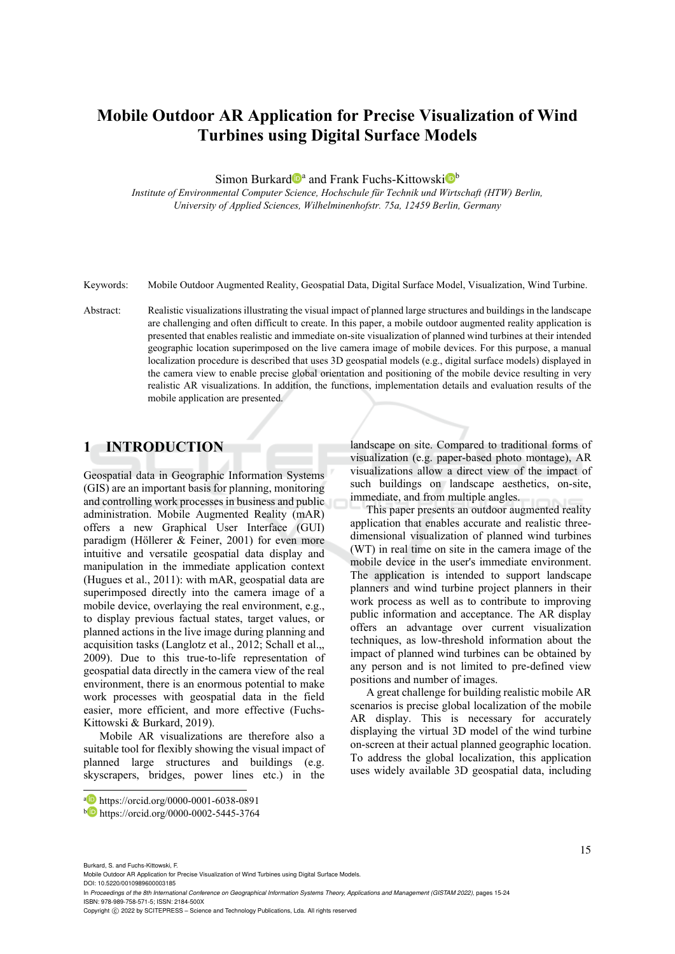# **Mobile Outdoor AR Application for Precise Visualization of Wind Turbines using Digital Surface Models**

Simon Burkard<sup>o</sup><sup>a</sup> and Frank Fuchs-Kittowski<sup>ot</sup>

*Institute of Environmental Computer Science, Hochschule für Technik und Wirtschaft (HTW) Berlin, University of Applied Sciences, Wilhelminenhofstr. 75a, 12459 Berlin, Germany* 

Keywords: Mobile Outdoor Augmented Reality, Geospatial Data, Digital Surface Model, Visualization, Wind Turbine.

Abstract: Realistic visualizations illustrating the visual impact of planned large structures and buildings in the landscape are challenging and often difficult to create. In this paper, a mobile outdoor augmented reality application is presented that enables realistic and immediate on-site visualization of planned wind turbines at their intended geographic location superimposed on the live camera image of mobile devices. For this purpose, a manual localization procedure is described that uses 3D geospatial models (e.g., digital surface models) displayed in the camera view to enable precise global orientation and positioning of the mobile device resulting in very realistic AR visualizations. In addition, the functions, implementation details and evaluation results of the mobile application are presented.

## **1 INTRODUCTION**

Geospatial data in Geographic Information Systems (GIS) are an important basis for planning, monitoring and controlling work processes in business and public administration. Mobile Augmented Reality (mAR) offers a new Graphical User Interface (GUI) paradigm (Höllerer & Feiner, 2001) for even more intuitive and versatile geospatial data display and manipulation in the immediate application context (Hugues et al., 2011): with mAR, geospatial data are superimposed directly into the camera image of a mobile device, overlaying the real environment, e.g., to display previous factual states, target values, or planned actions in the live image during planning and acquisition tasks (Langlotz et al., 2012; Schall et al.,, 2009). Due to this true-to-life representation of geospatial data directly in the camera view of the real environment, there is an enormous potential to make work processes with geospatial data in the field easier, more efficient, and more effective (Fuchs-Kittowski & Burkard, 2019).

Mobile AR visualizations are therefore also a suitable tool for flexibly showing the visual impact of planned large structures and buildings (e.g. skyscrapers, bridges, power lines etc.) in the landscape on site. Compared to traditional forms of visualization (e.g. paper-based photo montage), AR visualizations allow a direct view of the impact of such buildings on landscape aesthetics, on-site, immediate, and from multiple angles.

This paper presents an outdoor augmented reality application that enables accurate and realistic threedimensional visualization of planned wind turbines (WT) in real time on site in the camera image of the mobile device in the user's immediate environment. The application is intended to support landscape planners and wind turbine project planners in their work process as well as to contribute to improving public information and acceptance. The AR display offers an advantage over current visualization techniques, as low-threshold information about the impact of planned wind turbines can be obtained by any person and is not limited to pre-defined view positions and number of images.

A great challenge for building realistic mobile AR scenarios is precise global localization of the mobile AR display. This is necessary for accurately displaying the virtual 3D model of the wind turbine on-screen at their actual planned geographic location. To address the global localization, this application uses widely available 3D geospatial data, including

Burkard, S. and Fuchs-Kittowski, F.

Mobile Outdoor AR Application for Precise Visualization of Wind Turbines using Digital Surface Models.

DOI: 10.5220/0010989600003185

In *Proceedings of the 8th International Conference on Geographical Information Systems Theory, Applications and Management (GISTAM 2022)*, pages 15-24 ISBN: 978-989-758-571-5; ISSN: 2184-500X

a https://orcid.org/0000-0001-6038-0891<br>b https://orcid.org/0000-0002-5445-3764

Copyright (C) 2022 by SCITEPRESS - Science and Technology Publications, Lda. All rights reserved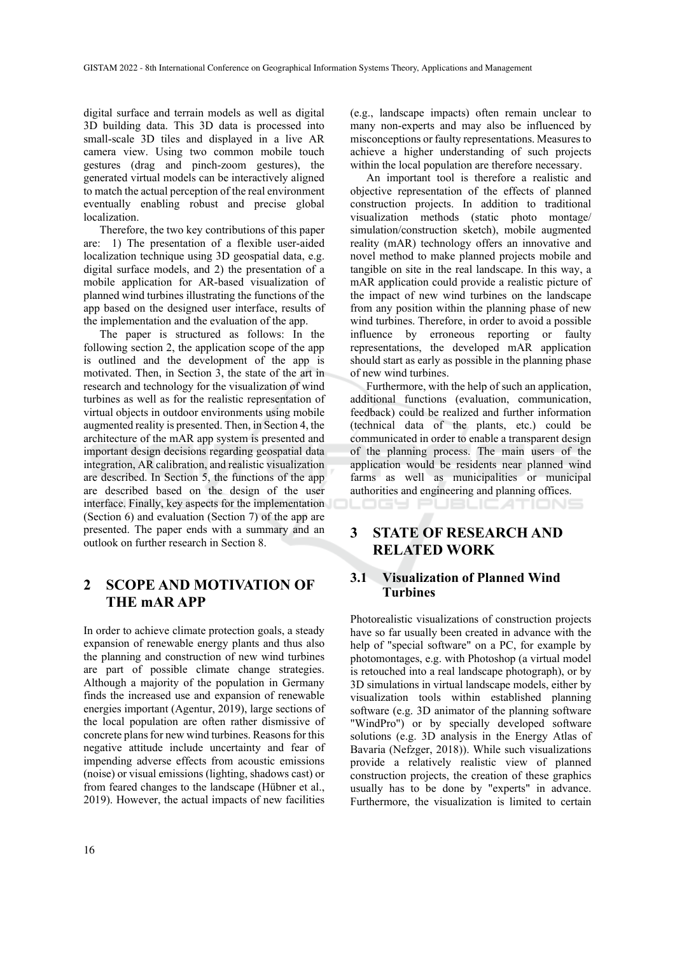digital surface and terrain models as well as digital 3D building data. This 3D data is processed into small-scale 3D tiles and displayed in a live AR camera view. Using two common mobile touch gestures (drag and pinch-zoom gestures), the generated virtual models can be interactively aligned to match the actual perception of the real environment eventually enabling robust and precise global localization.

Therefore, the two key contributions of this paper are: 1) The presentation of a flexible user-aided localization technique using 3D geospatial data, e.g. digital surface models, and 2) the presentation of a mobile application for AR-based visualization of planned wind turbines illustrating the functions of the app based on the designed user interface, results of the implementation and the evaluation of the app.

The paper is structured as follows: In the following section 2, the application scope of the app is outlined and the development of the app is motivated. Then, in Section 3, the state of the art in research and technology for the visualization of wind turbines as well as for the realistic representation of virtual objects in outdoor environments using mobile augmented reality is presented. Then, in Section 4, the architecture of the mAR app system is presented and important design decisions regarding geospatial data integration, AR calibration, and realistic visualization are described. In Section 5, the functions of the app are described based on the design of the user interface. Finally, key aspects for the implementation (Section 6) and evaluation (Section 7) of the app are presented. The paper ends with a summary and an outlook on further research in Section 8.

## **2 SCOPE AND MOTIVATION OF THE mAR APP**

In order to achieve climate protection goals, a steady expansion of renewable energy plants and thus also the planning and construction of new wind turbines are part of possible climate change strategies. Although a majority of the population in Germany finds the increased use and expansion of renewable energies important (Agentur, 2019), large sections of the local population are often rather dismissive of concrete plans for new wind turbines. Reasons for this negative attitude include uncertainty and fear of impending adverse effects from acoustic emissions (noise) or visual emissions (lighting, shadows cast) or from feared changes to the landscape (Hübner et al., 2019). However, the actual impacts of new facilities (e.g., landscape impacts) often remain unclear to many non-experts and may also be influenced by misconceptions or faulty representations. Measures to achieve a higher understanding of such projects within the local population are therefore necessary.

An important tool is therefore a realistic and objective representation of the effects of planned construction projects. In addition to traditional visualization methods (static photo montage/ simulation/construction sketch), mobile augmented reality (mAR) technology offers an innovative and novel method to make planned projects mobile and tangible on site in the real landscape. In this way, a mAR application could provide a realistic picture of the impact of new wind turbines on the landscape from any position within the planning phase of new wind turbines. Therefore, in order to avoid a possible influence by erroneous reporting or faulty representations, the developed mAR application should start as early as possible in the planning phase of new wind turbines.

Furthermore, with the help of such an application, additional functions (evaluation, communication, feedback) could be realized and further information (technical data of the plants, etc.) could be communicated in order to enable a transparent design of the planning process. The main users of the application would be residents near planned wind farms as well as municipalities or municipal authorities and engineering and planning offices.

LOGY PUBLIC ATIONS

## **3 STATE OF RESEARCH AND RELATED WORK**

### **3.1 Visualization of Planned Wind Turbines**

Photorealistic visualizations of construction projects have so far usually been created in advance with the help of "special software" on a PC, for example by photomontages, e.g. with Photoshop (a virtual model is retouched into a real landscape photograph), or by 3D simulations in virtual landscape models, either by visualization tools within established planning software (e.g. 3D animator of the planning software "WindPro") or by specially developed software solutions (e.g. 3D analysis in the Energy Atlas of Bavaria (Nefzger, 2018)). While such visualizations provide a relatively realistic view of planned construction projects, the creation of these graphics usually has to be done by "experts" in advance. Furthermore, the visualization is limited to certain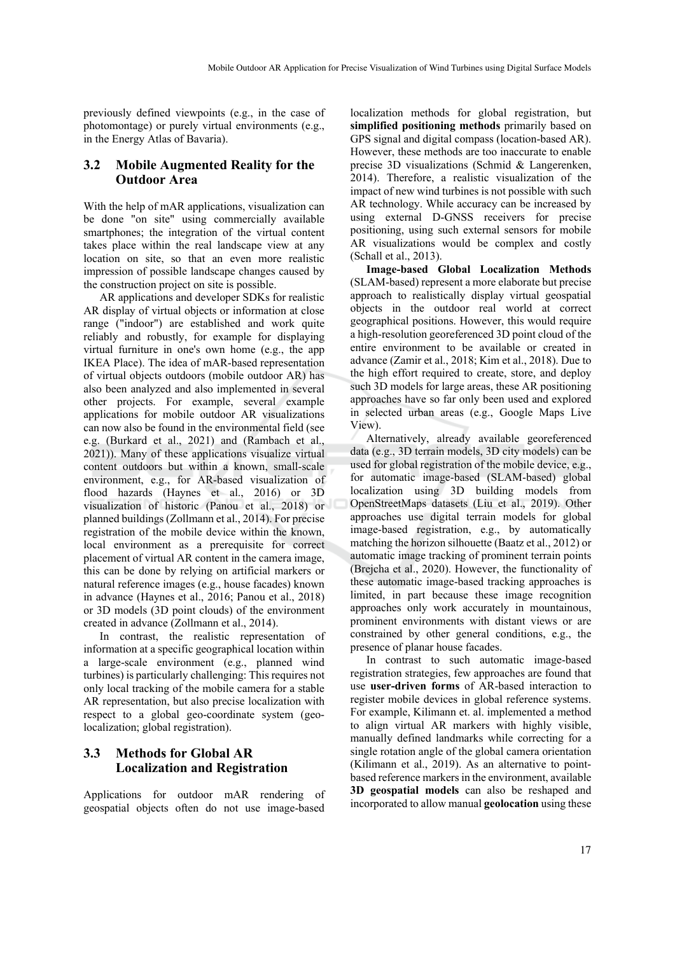previously defined viewpoints (e.g., in the case of photomontage) or purely virtual environments (e.g., in the Energy Atlas of Bavaria).

### **3.2 Mobile Augmented Reality for the Outdoor Area**

With the help of mAR applications, visualization can be done "on site" using commercially available smartphones; the integration of the virtual content takes place within the real landscape view at any location on site, so that an even more realistic impression of possible landscape changes caused by the construction project on site is possible.

AR applications and developer SDKs for realistic AR display of virtual objects or information at close range ("indoor") are established and work quite reliably and robustly, for example for displaying virtual furniture in one's own home (e.g., the app IKEA Place). The idea of mAR-based representation of virtual objects outdoors (mobile outdoor AR) has also been analyzed and also implemented in several other projects. For example, several example applications for mobile outdoor AR visualizations can now also be found in the environmental field (see e.g. (Burkard et al., 2021) and (Rambach et al., 2021)). Many of these applications visualize virtual content outdoors but within a known, small-scale environment, e.g., for AR-based visualization of flood hazards (Haynes et al., 2016) or 3D visualization of historic (Panou et al., 2018) or planned buildings (Zollmann et al., 2014). For precise registration of the mobile device within the known, local environment as a prerequisite for correct placement of virtual AR content in the camera image, this can be done by relying on artificial markers or natural reference images (e.g., house facades) known in advance (Haynes et al., 2016; Panou et al., 2018) or 3D models (3D point clouds) of the environment created in advance (Zollmann et al., 2014).

In contrast, the realistic representation of information at a specific geographical location within a large-scale environment (e.g., planned wind turbines) is particularly challenging: This requires not only local tracking of the mobile camera for a stable AR representation, but also precise localization with respect to a global geo-coordinate system (geolocalization; global registration).

### **3.3 Methods for Global AR Localization and Registration**

Applications for outdoor mAR rendering of geospatial objects often do not use image-based

localization methods for global registration, but **simplified positioning methods** primarily based on GPS signal and digital compass (location-based AR). However, these methods are too inaccurate to enable precise 3D visualizations (Schmid & Langerenken, 2014). Therefore, a realistic visualization of the impact of new wind turbines is not possible with such AR technology. While accuracy can be increased by using external D-GNSS receivers for precise positioning, using such external sensors for mobile AR visualizations would be complex and costly (Schall et al., 2013).

**Image-based Global Localization Methods** (SLAM-based) represent a more elaborate but precise approach to realistically display virtual geospatial objects in the outdoor real world at correct geographical positions. However, this would require a high-resolution georeferenced 3D point cloud of the entire environment to be available or created in advance (Zamir et al., 2018; Kim et al., 2018). Due to the high effort required to create, store, and deploy such 3D models for large areas, these AR positioning approaches have so far only been used and explored in selected urban areas (e.g., Google Maps Live View).

Alternatively, already available georeferenced data (e.g., 3D terrain models, 3D city models) can be used for global registration of the mobile device, e.g., for automatic image-based (SLAM-based) global localization using 3D building models from OpenStreetMaps datasets (Liu et al., 2019). Other approaches use digital terrain models for global image-based registration, e.g., by automatically matching the horizon silhouette (Baatz et al., 2012) or automatic image tracking of prominent terrain points (Brejcha et al., 2020). However, the functionality of these automatic image-based tracking approaches is limited, in part because these image recognition approaches only work accurately in mountainous, prominent environments with distant views or are constrained by other general conditions, e.g., the presence of planar house facades.

In contrast to such automatic image-based registration strategies, few approaches are found that use **user-driven forms** of AR-based interaction to register mobile devices in global reference systems. For example, Kilimann et. al. implemented a method to align virtual AR markers with highly visible, manually defined landmarks while correcting for a single rotation angle of the global camera orientation (Kilimann et al., 2019). As an alternative to pointbased reference markers in the environment, available **3D geospatial models** can also be reshaped and incorporated to allow manual **geolocation** using these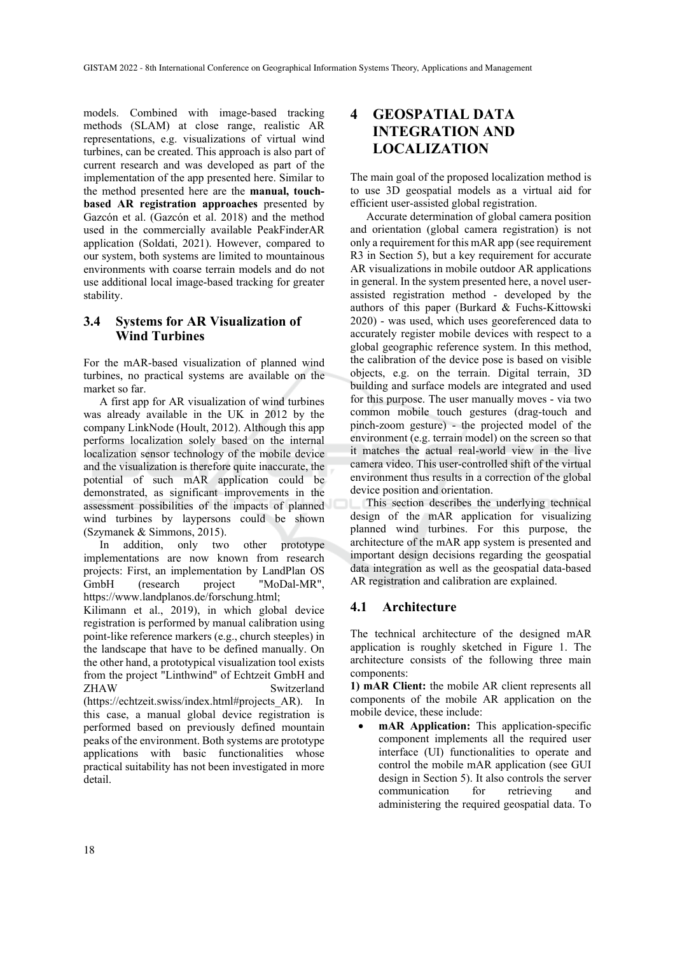models. Combined with image-based tracking methods (SLAM) at close range, realistic AR representations, e.g. visualizations of virtual wind turbines, can be created. This approach is also part of current research and was developed as part of the implementation of the app presented here. Similar to the method presented here are the **manual, touchbased AR registration approaches** presented by Gazcón et al. (Gazcón et al. 2018) and the method used in the commercially available PeakFinderAR application (Soldati, 2021). However, compared to our system, both systems are limited to mountainous environments with coarse terrain models and do not use additional local image-based tracking for greater stability.

### **3.4 Systems for AR Visualization of Wind Turbines**

For the mAR-based visualization of planned wind turbines, no practical systems are available on the market so far.

A first app for AR visualization of wind turbines was already available in the UK in 2012 by the company LinkNode (Hoult, 2012). Although this app performs localization solely based on the internal localization sensor technology of the mobile device and the visualization is therefore quite inaccurate, the potential of such mAR application could be demonstrated, as significant improvements in the assessment possibilities of the impacts of planned wind turbines by laypersons could be shown (Szymanek & Simmons, 2015).

In addition, only two other prototype implementations are now known from research projects: First, an implementation by LandPlan OS GmbH (research project "MoDal-MR", https://www.landplanos.de/forschung.html;

Kilimann et al., 2019), in which global device registration is performed by manual calibration using point-like reference markers (e.g., church steeples) in the landscape that have to be defined manually. On the other hand, a prototypical visualization tool exists from the project "Linthwind" of Echtzeit GmbH and ZHAW Switzerland (https://echtzeit.swiss/index.html#projects\_AR). In this case, a manual global device registration is performed based on previously defined mountain peaks of the environment. Both systems are prototype applications with basic functionalities whose practical suitability has not been investigated in more detail.

## **4 GEOSPATIAL DATA INTEGRATION AND LOCALIZATION**

The main goal of the proposed localization method is to use 3D geospatial models as a virtual aid for efficient user-assisted global registration.

Accurate determination of global camera position and orientation (global camera registration) is not only a requirement for this mAR app (see requirement R3 in Section 5), but a key requirement for accurate AR visualizations in mobile outdoor AR applications in general. In the system presented here, a novel userassisted registration method - developed by the authors of this paper (Burkard & Fuchs-Kittowski 2020) - was used, which uses georeferenced data to accurately register mobile devices with respect to a global geographic reference system. In this method, the calibration of the device pose is based on visible objects, e.g. on the terrain. Digital terrain, 3D building and surface models are integrated and used for this purpose. The user manually moves - via two common mobile touch gestures (drag-touch and pinch-zoom gesture) - the projected model of the environment (e.g. terrain model) on the screen so that it matches the actual real-world view in the live camera video. This user-controlled shift of the virtual environment thus results in a correction of the global device position and orientation.

This section describes the underlying technical design of the mAR application for visualizing planned wind turbines. For this purpose, the architecture of the mAR app system is presented and important design decisions regarding the geospatial data integration as well as the geospatial data-based AR registration and calibration are explained.

### **4.1 Architecture**

The technical architecture of the designed mAR application is roughly sketched in Figure 1. The architecture consists of the following three main components:

**1) mAR Client:** the mobile AR client represents all components of the mobile AR application on the mobile device, these include:

**mAR Application:** This application-specific component implements all the required user interface (UI) functionalities to operate and control the mobile mAR application (see GUI design in Section 5). It also controls the server communication for retrieving and administering the required geospatial data. To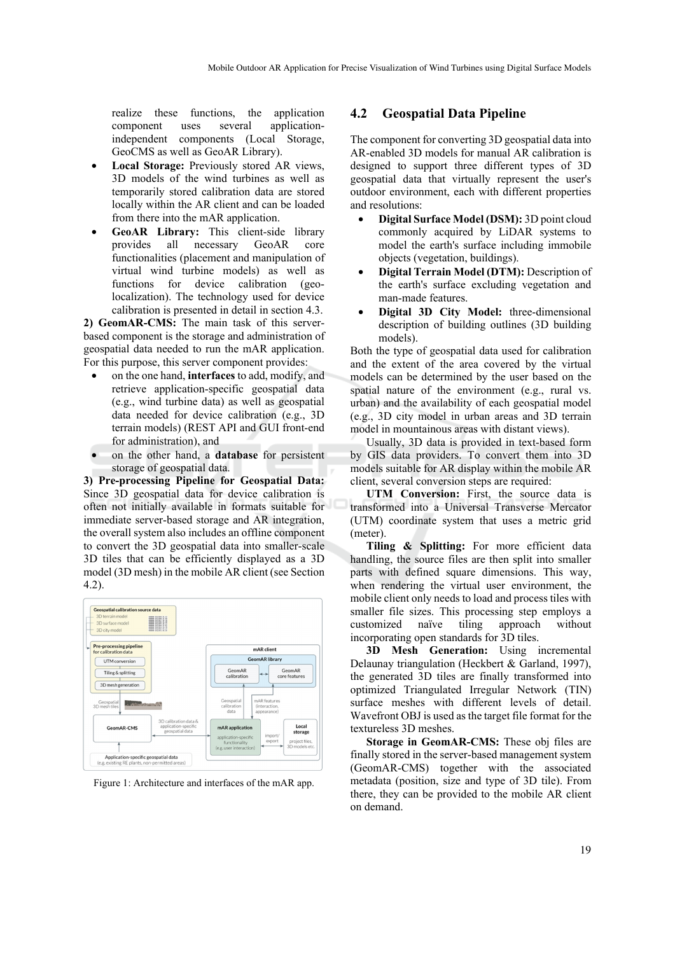realize these functions, the application component uses several applicationindependent components (Local Storage, GeoCMS as well as GeoAR Library).

- **Local Storage:** Previously stored AR views, 3D models of the wind turbines as well as temporarily stored calibration data are stored locally within the AR client and can be loaded from there into the mAR application.
- **GeoAR Library:** This client-side library provides all necessary GeoAR core functionalities (placement and manipulation of virtual wind turbine models) as well as functions for device calibration (geolocalization). The technology used for device calibration is presented in detail in section 4.3.

**2) GeomAR-CMS:** The main task of this serverbased component is the storage and administration of geospatial data needed to run the mAR application. For this purpose, this server component provides:

- on the one hand, **interfaces** to add, modify, and retrieve application-specific geospatial data (e.g., wind turbine data) as well as geospatial data needed for device calibration (e.g., 3D terrain models) (REST API and GUI front-end for administration), and
- on the other hand, a **database** for persistent storage of geospatial data.

**3) Pre-processing Pipeline for Geospatial Data:** Since 3D geospatial data for device calibration is often not initially available in formats suitable for immediate server-based storage and AR integration, the overall system also includes an offline component to convert the 3D geospatial data into smaller-scale 3D tiles that can be efficiently displayed as a 3D model (3D mesh) in the mobile AR client (see Section 4.2).



Figure 1: Architecture and interfaces of the mAR app.

#### **4.2 Geospatial Data Pipeline**

The component for converting 3D geospatial data into AR-enabled 3D models for manual AR calibration is designed to support three different types of 3D geospatial data that virtually represent the user's outdoor environment, each with different properties and resolutions:

- **Digital Surface Model (DSM):** 3D point cloud commonly acquired by LiDAR systems to model the earth's surface including immobile objects (vegetation, buildings).
- **Digital Terrain Model (DTM):** Description of the earth's surface excluding vegetation and man-made features.
- **Digital 3D City Model:** three-dimensional description of building outlines (3D building models).

Both the type of geospatial data used for calibration and the extent of the area covered by the virtual models can be determined by the user based on the spatial nature of the environment (e.g., rural vs. urban) and the availability of each geospatial model (e.g., 3D city model in urban areas and 3D terrain model in mountainous areas with distant views).

Usually, 3D data is provided in text-based form by GIS data providers. To convert them into 3D models suitable for AR display within the mobile AR client, several conversion steps are required:

**UTM Conversion:** First, the source data is transformed into a Universal Transverse Mercator (UTM) coordinate system that uses a metric grid (meter).

**Tiling & Splitting:** For more efficient data handling, the source files are then split into smaller parts with defined square dimensions. This way, when rendering the virtual user environment, the mobile client only needs to load and process tiles with smaller file sizes. This processing step employs a customized naïve tiling approach without incorporating open standards for 3D tiles.

**3D Mesh Generation:** Using incremental Delaunay triangulation (Heckbert & Garland, 1997), the generated 3D tiles are finally transformed into optimized Triangulated Irregular Network (TIN) surface meshes with different levels of detail. Wavefront OBJ is used as the target file format for the textureless 3D meshes.

**Storage in GeomAR-CMS:** These obj files are finally stored in the server-based management system (GeomAR-CMS) together with the associated metadata (position, size and type of 3D tile). From there, they can be provided to the mobile AR client on demand.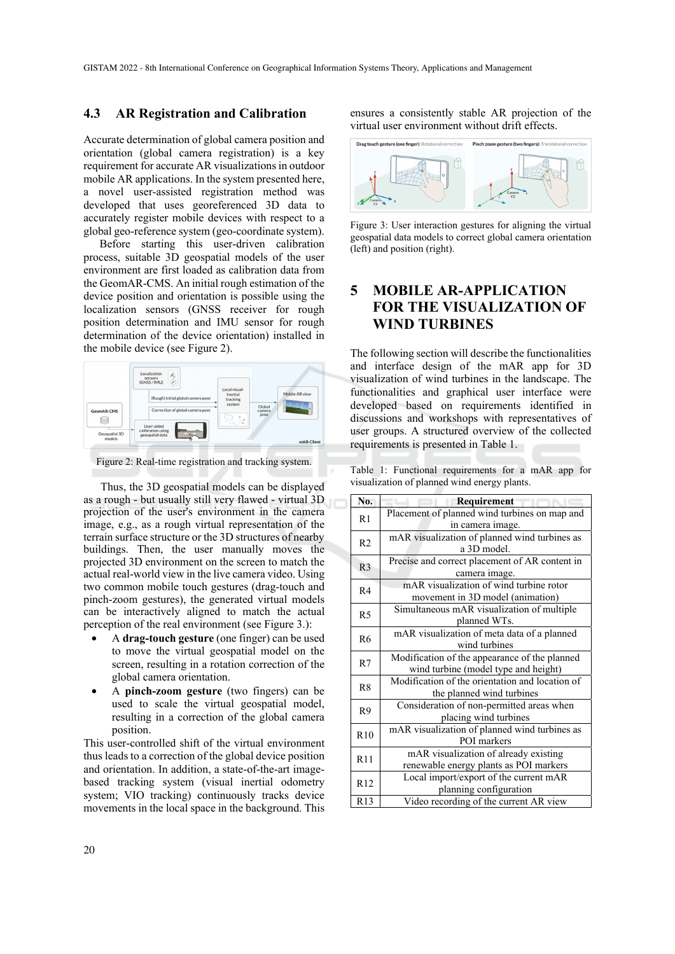#### **4.3 AR Registration and Calibration**

Accurate determination of global camera position and orientation (global camera registration) is a key requirement for accurate AR visualizations in outdoor mobile AR applications. In the system presented here, a novel user-assisted registration method was developed that uses georeferenced 3D data to accurately register mobile devices with respect to a global geo-reference system (geo-coordinate system).

Before starting this user-driven calibration process, suitable 3D geospatial models of the user environment are first loaded as calibration data from the GeomAR-CMS. An initial rough estimation of the device position and orientation is possible using the localization sensors (GNSS receiver for rough position determination and IMU sensor for rough determination of the device orientation) installed in the mobile device (see Figure 2).



Figure 2: Real-time registration and tracking system.

Thus, the 3D geospatial models can be displayed as a rough - but usually still very flawed - virtual 3D projection of the user's environment in the camera image, e.g., as a rough virtual representation of the terrain surface structure or the 3D structures of nearby buildings. Then, the user manually moves the projected 3D environment on the screen to match the actual real-world view in the live camera video. Using two common mobile touch gestures (drag-touch and pinch-zoom gestures), the generated virtual models can be interactively aligned to match the actual perception of the real environment (see Figure 3.):

- A **drag-touch gesture** (one finger) can be used to move the virtual geospatial model on the screen, resulting in a rotation correction of the global camera orientation.
- A **pinch-zoom gesture** (two fingers) can be used to scale the virtual geospatial model, resulting in a correction of the global camera position.

This user-controlled shift of the virtual environment thus leads to a correction of the global device position and orientation. In addition, a state-of-the-art imagebased tracking system (visual inertial odometry system; VIO tracking) continuously tracks device movements in the local space in the background. This ensures a consistently stable AR projection of the virtual user environment without drift effects.



Figure 3: User interaction gestures for aligning the virtual geospatial data models to correct global camera orientation (left) and position (right).

## **5 MOBILE AR-APPLICATION FOR THE VISUALIZATION OF WIND TURBINES**

The following section will describe the functionalities and interface design of the mAR app for 3D visualization of wind turbines in the landscape. The functionalities and graphical user interface were developed based on requirements identified in discussions and workshops with representatives of user groups. A structured overview of the collected requirements is presented in Table 1.

Table 1: Functional requirements for a mAR app for visualization of planned wind energy plants.

| No.             | Requirement                                     |
|-----------------|-------------------------------------------------|
| R1              | Placement of planned wind turbines on map and   |
|                 | in camera image.                                |
| R <sub>2</sub>  | mAR visualization of planned wind turbines as   |
|                 | a 3D model.                                     |
| R <sub>3</sub>  | Precise and correct placement of AR content in  |
|                 | camera image.                                   |
| R <sub>4</sub>  | mAR visualization of wind turbine rotor         |
|                 | movement in 3D model (animation)                |
| R <sub>5</sub>  | Simultaneous mAR visualization of multiple      |
|                 | planned WTs.                                    |
| R <sub>6</sub>  | mAR visualization of meta data of a planned     |
|                 | wind turbines                                   |
| R7              | Modification of the appearance of the planned   |
|                 | wind turbine (model type and height)            |
| R <sub>8</sub>  | Modification of the orientation and location of |
|                 | the planned wind turbines                       |
| R9              | Consideration of non-permitted areas when       |
|                 | placing wind turbines                           |
| R10             | mAR visualization of planned wind turbines as   |
|                 | POI markers                                     |
| R11             | mAR visualization of already existing           |
|                 | renewable energy plants as POI markers          |
| R12             | Local import/export of the current mAR          |
|                 | planning configuration                          |
| R <sub>13</sub> | Video recording of the current AR view          |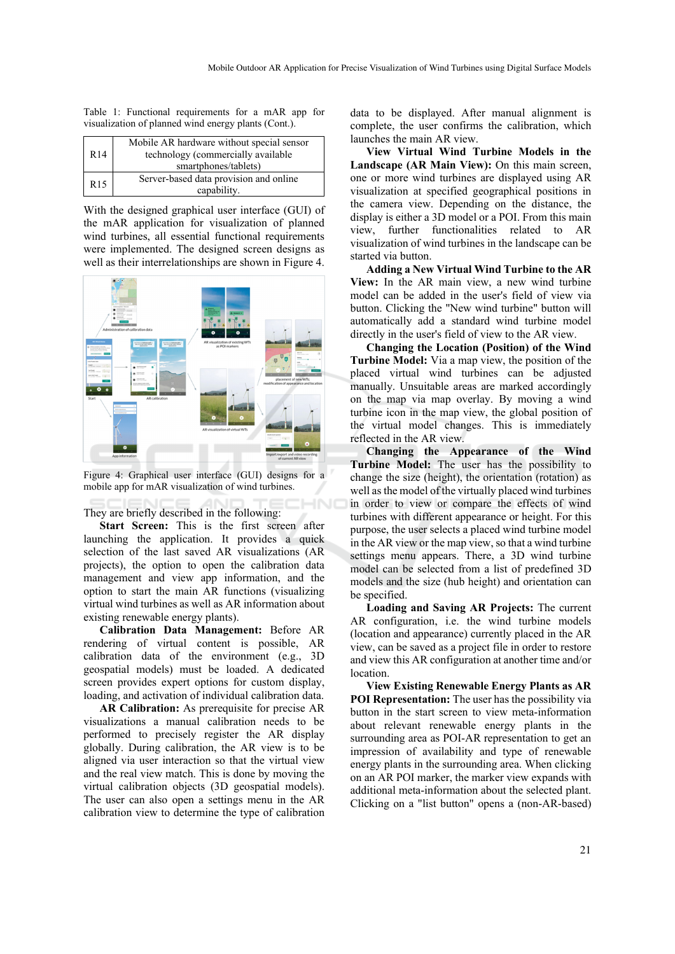Table 1: Functional requirements for a mAR app for visualization of planned wind energy plants (Cont.).

| R <sub>14</sub> | Mobile AR hardware without special sensor<br>technology (commercially available<br>smartphones/tablets) |
|-----------------|---------------------------------------------------------------------------------------------------------|
| R <sub>15</sub> | Server-based data provision and online<br>capability.                                                   |

With the designed graphical user interface (GUI) of the mAR application for visualization of planned wind turbines, all essential functional requirements were implemented. The designed screen designs as well as their interrelationships are shown in Figure 4.



Figure 4: Graphical user interface (GUI) designs for a mobile app for mAR visualization of wind turbines.

#### They are briefly described in the following:

**Start Screen:** This is the first screen after launching the application. It provides a quick selection of the last saved AR visualizations (AR projects), the option to open the calibration data management and view app information, and the option to start the main AR functions (visualizing virtual wind turbines as well as AR information about existing renewable energy plants).

**Calibration Data Management:** Before AR rendering of virtual content is possible, AR calibration data of the environment (e.g., 3D geospatial models) must be loaded. A dedicated screen provides expert options for custom display, loading, and activation of individual calibration data.

**AR Calibration:** As prerequisite for precise AR visualizations a manual calibration needs to be performed to precisely register the AR display globally. During calibration, the AR view is to be aligned via user interaction so that the virtual view and the real view match. This is done by moving the virtual calibration objects (3D geospatial models). The user can also open a settings menu in the AR calibration view to determine the type of calibration

data to be displayed. After manual alignment is complete, the user confirms the calibration, which launches the main AR view.

**View Virtual Wind Turbine Models in the Landscape (AR Main View):** On this main screen, one or more wind turbines are displayed using AR visualization at specified geographical positions in the camera view. Depending on the distance, the display is either a 3D model or a POI. From this main view, further functionalities related to AR visualization of wind turbines in the landscape can be started via button.

**Adding a New Virtual Wind Turbine to the AR View:** In the AR main view, a new wind turbine model can be added in the user's field of view via button. Clicking the "New wind turbine" button will automatically add a standard wind turbine model directly in the user's field of view to the AR view.

**Changing the Location (Position) of the Wind Turbine Model:** Via a map view, the position of the placed virtual wind turbines can be adjusted manually. Unsuitable areas are marked accordingly on the map via map overlay. By moving a wind turbine icon in the map view, the global position of the virtual model changes. This is immediately reflected in the AR view.

**Changing the Appearance of the Wind Turbine Model:** The user has the possibility to change the size (height), the orientation (rotation) as well as the model of the virtually placed wind turbines in order to view or compare the effects of wind turbines with different appearance or height. For this purpose, the user selects a placed wind turbine model in the AR view or the map view, so that a wind turbine settings menu appears. There, a 3D wind turbine model can be selected from a list of predefined 3D models and the size (hub height) and orientation can be specified.

**Loading and Saving AR Projects:** The current AR configuration, i.e. the wind turbine models (location and appearance) currently placed in the AR view, can be saved as a project file in order to restore and view this AR configuration at another time and/or location.

**View Existing Renewable Energy Plants as AR POI Representation:** The user has the possibility via button in the start screen to view meta-information about relevant renewable energy plants in the surrounding area as POI-AR representation to get an impression of availability and type of renewable energy plants in the surrounding area. When clicking on an AR POI marker, the marker view expands with additional meta-information about the selected plant. Clicking on a "list button" opens a (non-AR-based)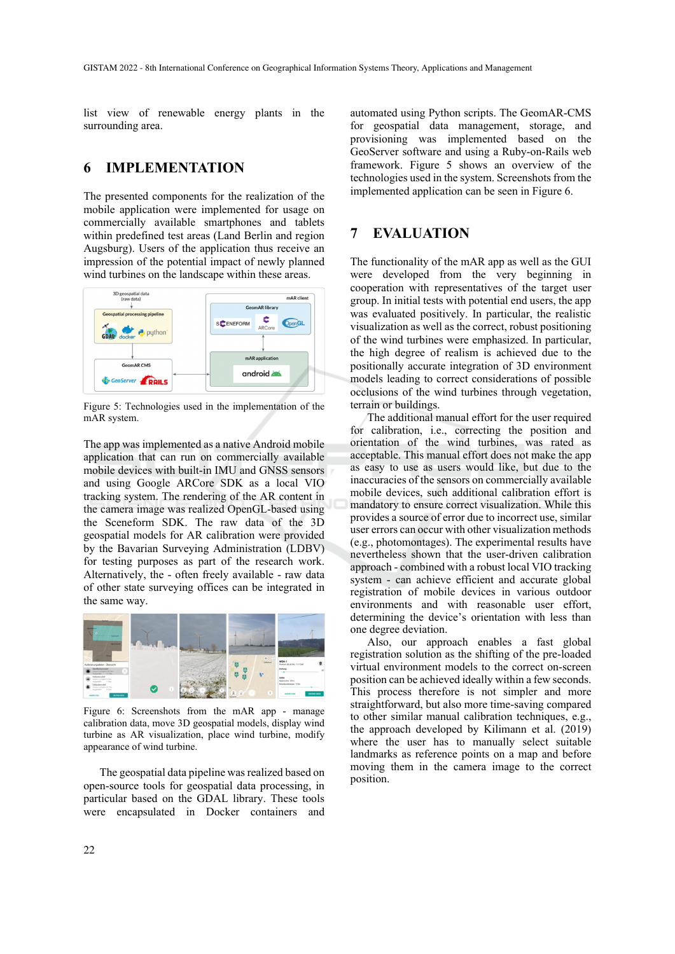list view of renewable energy plants in the surrounding area.

## **6 IMPLEMENTATION**

The presented components for the realization of the mobile application were implemented for usage on commercially available smartphones and tablets within predefined test areas (Land Berlin and region Augsburg). Users of the application thus receive an impression of the potential impact of newly planned wind turbines on the landscape within these areas.



Figure 5: Technologies used in the implementation of the mAR system.

The app was implemented as a native Android mobile application that can run on commercially available mobile devices with built-in IMU and GNSS sensors and using Google ARCore SDK as a local VIO tracking system. The rendering of the AR content in the camera image was realized OpenGL-based using the Sceneform SDK. The raw data of the 3D geospatial models for AR calibration were provided by the Bavarian Surveying Administration (LDBV) for testing purposes as part of the research work. Alternatively, the - often freely available - raw data of other state surveying offices can be integrated in the same way.



Figure 6: Screenshots from the mAR app - manage calibration data, move 3D geospatial models, display wind turbine as AR visualization, place wind turbine, modify appearance of wind turbine.

The geospatial data pipeline was realized based on open-source tools for geospatial data processing, in particular based on the GDAL library. These tools were encapsulated in Docker containers and

automated using Python scripts. The GeomAR-CMS for geospatial data management, storage, and provisioning was implemented based on the GeoServer software and using a Ruby-on-Rails web framework. Figure 5 shows an overview of the technologies used in the system. Screenshots from the implemented application can be seen in Figure 6.

## **7 EVALUATION**

The functionality of the mAR app as well as the GUI were developed from the very beginning in cooperation with representatives of the target user group. In initial tests with potential end users, the app was evaluated positively. In particular, the realistic visualization as well as the correct, robust positioning of the wind turbines were emphasized. In particular, the high degree of realism is achieved due to the positionally accurate integration of 3D environment models leading to correct considerations of possible occlusions of the wind turbines through vegetation, terrain or buildings.

The additional manual effort for the user required for calibration, i.e., correcting the position and orientation of the wind turbines, was rated as acceptable. This manual effort does not make the app as easy to use as users would like, but due to the inaccuracies of the sensors on commercially available mobile devices, such additional calibration effort is mandatory to ensure correct visualization. While this provides a source of error due to incorrect use, similar user errors can occur with other visualization methods (e.g., photomontages). The experimental results have nevertheless shown that the user-driven calibration approach - combined with a robust local VIO tracking system - can achieve efficient and accurate global registration of mobile devices in various outdoor environments and with reasonable user effort, determining the device's orientation with less than one degree deviation.

Also, our approach enables a fast global registration solution as the shifting of the pre-loaded virtual environment models to the correct on-screen position can be achieved ideally within a few seconds. This process therefore is not simpler and more straightforward, but also more time-saving compared to other similar manual calibration techniques, e.g., the approach developed by Kilimann et al. (2019) where the user has to manually select suitable landmarks as reference points on a map and before moving them in the camera image to the correct position.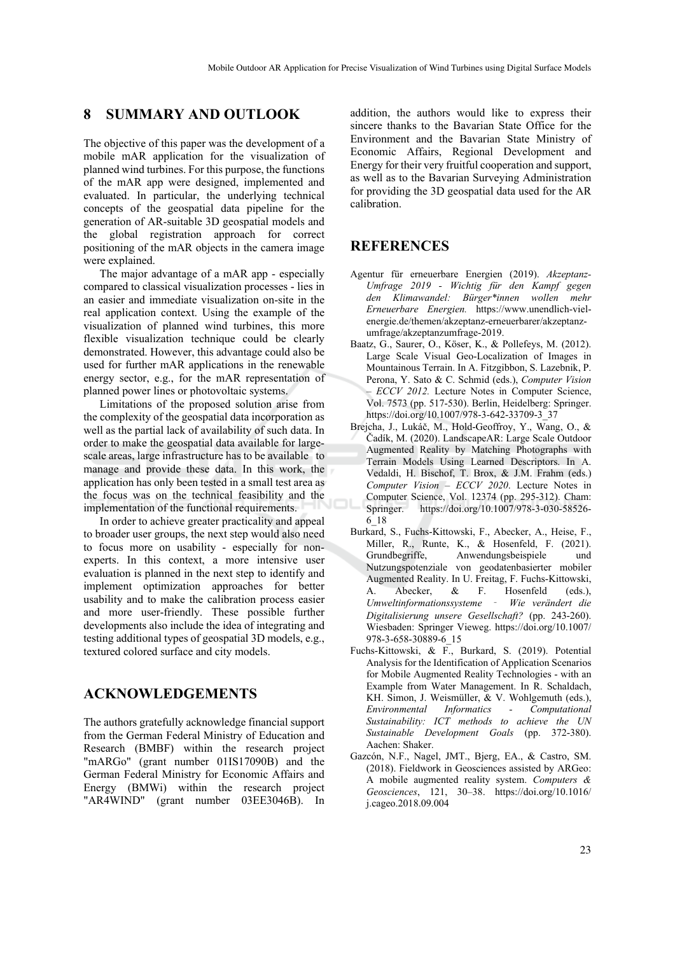## **8 SUMMARY AND OUTLOOK**

The objective of this paper was the development of a mobile mAR application for the visualization of planned wind turbines. For this purpose, the functions of the mAR app were designed, implemented and evaluated. In particular, the underlying technical concepts of the geospatial data pipeline for the generation of AR-suitable 3D geospatial models and the global registration approach for correct positioning of the mAR objects in the camera image were explained.

The major advantage of a mAR app - especially compared to classical visualization processes - lies in an easier and immediate visualization on-site in the real application context. Using the example of the visualization of planned wind turbines, this more flexible visualization technique could be clearly demonstrated. However, this advantage could also be used for further mAR applications in the renewable energy sector, e.g., for the mAR representation of planned power lines or photovoltaic systems.

Limitations of the proposed solution arise from the complexity of the geospatial data incorporation as well as the partial lack of availability of such data. In order to make the geospatial data available for largescale areas, large infrastructure has to be available to manage and provide these data. In this work, the application has only been tested in a small test area as the focus was on the technical feasibility and the implementation of the functional requirements.

In order to achieve greater practicality and appeal to broader user groups, the next step would also need to focus more on usability - especially for nonexperts. In this context, a more intensive user evaluation is planned in the next step to identify and implement optimization approaches for better usability and to make the calibration process easier and more user-friendly. These possible further developments also include the idea of integrating and testing additional types of geospatial 3D models, e.g., textured colored surface and city models.

### **ACKNOWLEDGEMENTS**

The authors gratefully acknowledge financial support from the German Federal Ministry of Education and Research (BMBF) within the research project "mARGo" (grant number 01IS17090B) and the German Federal Ministry for Economic Affairs and Energy (BMWi) within the research project "AR4WIND" (grant number 03EE3046B). In

addition, the authors would like to express their sincere thanks to the Bavarian State Office for the Environment and the Bavarian State Ministry of Economic Affairs, Regional Development and Energy for their very fruitful cooperation and support, as well as to the Bavarian Surveying Administration for providing the 3D geospatial data used for the AR calibration.

## **REFERENCES**

- Agentur für erneuerbare Energien (2019). *Akzeptanz-Umfrage 2019 - Wichtig für den Kampf gegen den Klimawandel: Bürger\*innen wollen mehr Erneuerbare Energien.* https://www.unendlich-vielenergie.de/themen/akzeptanz-erneuerbarer/akzeptanzumfrage/akzeptanzumfrage-2019.
- Baatz, G., Saurer, O., Köser, K., & Pollefeys, M. (2012). Large Scale Visual Geo-Localization of Images in Mountainous Terrain. In A. Fitzgibbon, S. Lazebnik, P. Perona, Y. Sato & C. Schmid (eds.), *Computer Vision – ECCV 2012.* Lecture Notes in Computer Science, Vol. 7573 (pp. 517-530). Berlin, Heidelberg: Springer. https://doi.org/10.1007/978-3-642-33709-3\_37
- Brejcha, J., Lukáč, M., Hold-Geoffroy, Y., Wang, O., & Čadík, M. (2020). LandscapeAR: Large Scale Outdoor Augmented Reality by Matching Photographs with Terrain Models Using Learned Descriptors. In A. Vedaldi, H. Bischof, T. Brox, & J.M. Frahm (eds.) *Computer Vision – ECCV 2020*. Lecture Notes in Computer Science, Vol. 12374 (pp. 295-312). Cham: Springer. https://doi.org/10.1007/978-3-030-58526- 6\_18
- Burkard, S., Fuchs-Kittowski, F., Abecker, A., Heise, F., Miller, R., Runte, K., & Hosenfeld, F. (2021). Grundbegriffe, Anwendungsbeispiele und Nutzungspotenziale von geodatenbasierter mobiler Augmented Reality. In U. Freitag, F. Fuchs-Kittowski, A. Abecker, & F. Hosenfeld (eds.), *Umweltinformationssysteme* ‐ *Wie verändert die Digitalisierung unsere Gesellschaft?* (pp. 243-260). Wiesbaden: Springer Vieweg. https://doi.org/10.1007/ 978-3-658-30889-6\_15
- Fuchs-Kittowski, & F., Burkard, S. (2019). Potential Analysis for the Identification of Application Scenarios for Mobile Augmented Reality Technologies - with an Example from Water Management. In R. Schaldach, KH. Simon, J. Weismüller, & V. Wohlgemuth (eds.), *Environmental Informatics - Computational Sustainability: ICT methods to achieve the UN Sustainable Development Goals* (pp. 372-380). Aachen: Shaker.
- Gazcón, N.F., Nagel, JMT., Bjerg, EA., & Castro, SM. (2018). Fieldwork in Geosciences assisted by ARGeo: A mobile augmented reality system. *Computers & Geosciences*, 121, 30–38. https://doi.org/10.1016/ j.cageo.2018.09.004